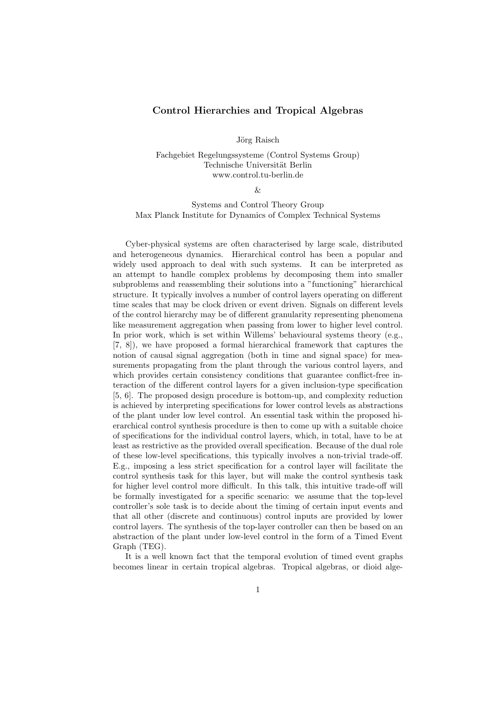## Control Hierarchies and Tropical Algebras

Jörg Raisch

Fachgebiet Regelungssysteme (Control Systems Group) Technische Universität Berlin www.control.tu-berlin.de

&

Systems and Control Theory Group Max Planck Institute for Dynamics of Complex Technical Systems

Cyber-physical systems are often characterised by large scale, distributed and heterogeneous dynamics. Hierarchical control has been a popular and widely used approach to deal with such systems. It can be interpreted as an attempt to handle complex problems by decomposing them into smaller subproblems and reassembling their solutions into a "functioning" hierarchical structure. It typically involves a number of control layers operating on different time scales that may be clock driven or event driven. Signals on different levels of the control hierarchy may be of different granularity representing phenomena like measurement aggregation when passing from lower to higher level control. In prior work, which is set within Willems' behavioural systems theory (e.g., [7, 8]), we have proposed a formal hierarchical framework that captures the notion of causal signal aggregation (both in time and signal space) for measurements propagating from the plant through the various control layers, and which provides certain consistency conditions that guarantee conflict-free interaction of the different control layers for a given inclusion-type specification [5, 6]. The proposed design procedure is bottom-up, and complexity reduction is achieved by interpreting specifications for lower control levels as abstractions of the plant under low level control. An essential task within the proposed hierarchical control synthesis procedure is then to come up with a suitable choice of specifications for the individual control layers, which, in total, have to be at least as restrictive as the provided overall specification. Because of the dual role of these low-level specifications, this typically involves a non-trivial trade-off. E.g., imposing a less strict specification for a control layer will facilitate the control synthesis task for this layer, but will make the control synthesis task for higher level control more difficult. In this talk, this intuitive trade-off will be formally investigated for a specific scenario: we assume that the top-level controller's sole task is to decide about the timing of certain input events and that all other (discrete and continuous) control inputs are provided by lower control layers. The synthesis of the top-layer controller can then be based on an abstraction of the plant under low-level control in the form of a Timed Event Graph (TEG).

It is a well known fact that the temporal evolution of timed event graphs becomes linear in certain tropical algebras. Tropical algebras, or dioid alge-